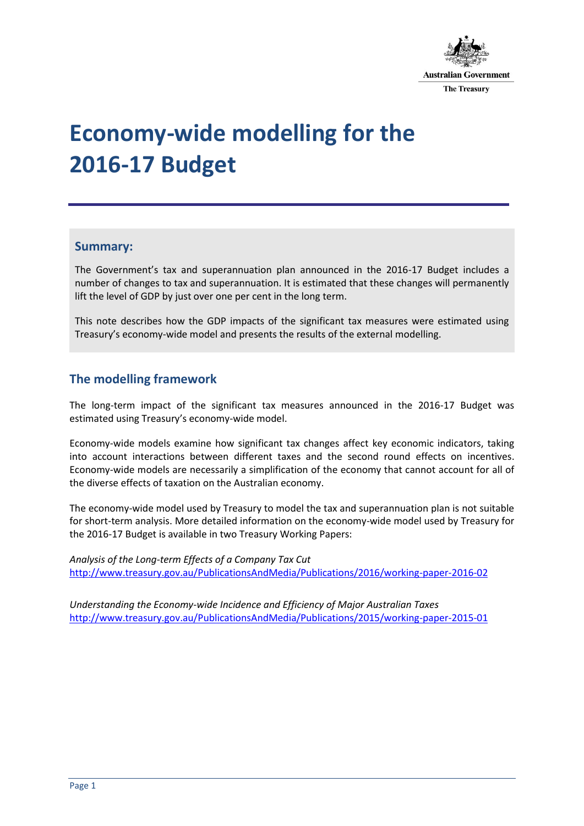

# **Economy-wide modelling for the 2016-17 Budget**

#### **Summary:**

The Government's tax and superannuation plan announced in the 2016-17 Budget includes a number of changes to tax and superannuation. It is estimated that these changes will permanently lift the level of GDP by just over one per cent in the long term.

This note describes how the GDP impacts of the significant tax measures were estimated using Treasury's economy-wide model and presents the results of the external modelling.

## **The modelling framework**

The long-term impact of the significant tax measures announced in the 2016-17 Budget was estimated using Treasury's economy-wide model.

Economy-wide models examine how significant tax changes affect key economic indicators, taking into account interactions between different taxes and the second round effects on incentives. Economy-wide models are necessarily a simplification of the economy that cannot account for all of the diverse effects of taxation on the Australian economy.

The economy-wide model used by Treasury to model the tax and superannuation plan is not suitable for short-term analysis. More detailed information on the economy-wide model used by Treasury for the 2016-17 Budget is available in two Treasury Working Papers:

*[Analysis of the Long-term Effects of a Company Tax Cut](http://www.treasury.gov.au/PublicationsAndMedia/Publications/2016/working-paper-2016-02)* <http://www.treasury.gov.au/PublicationsAndMedia/Publications/2016/working-paper-2016-02>

*Understanding the Economy-wide Incidence and Efficiency of Major Australian Taxes* [http://www.treasury.gov.au/PublicationsAndMedia/Publications/2015/working-paper-2015-01](http://www.treasury.gov.au/PublicationsAndMedia/Publications/2015/workingpaper201501)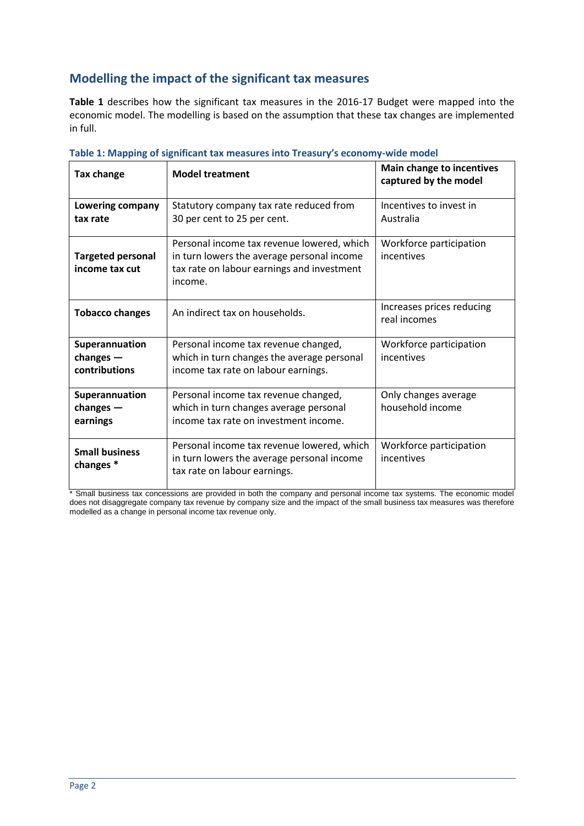## **Modelling the impact of the significant tax measures**

**Table 1** describes how the significant tax measures in the 2016-17 Budget were mapped into the economic model. The modelling is based on the assumption that these tax changes are implemented in full.

| <b>Tax change</b>                                                                                          | <b>Model treatment</b>                                                                                                   | <b>Main change to incentives</b><br>captured by the model |  |
|------------------------------------------------------------------------------------------------------------|--------------------------------------------------------------------------------------------------------------------------|-----------------------------------------------------------|--|
| Lowering company                                                                                           | Statutory company tax rate reduced from                                                                                  | Incentives to invest in                                   |  |
| tax rate                                                                                                   | 30 per cent to 25 per cent.                                                                                              | Australia                                                 |  |
|                                                                                                            | Personal income tax revenue lowered, which                                                                               | Workforce participation                                   |  |
| <b>Targeted personal</b><br>income tax cut                                                                 | in turn lowers the average personal income<br>tax rate on labour earnings and investment<br>income.                      | incentives                                                |  |
|                                                                                                            |                                                                                                                          |                                                           |  |
| <b>Tobacco changes</b>                                                                                     | An indirect tax on households.                                                                                           | Increases prices reducing<br>real incomes                 |  |
| Superannuation                                                                                             | Personal income tax revenue changed,                                                                                     | Workforce participation                                   |  |
| changes $-$                                                                                                | which in turn changes the average personal                                                                               | incentives                                                |  |
| contributions                                                                                              | income tax rate on labour earnings.                                                                                      |                                                           |  |
| Superannuation                                                                                             | Personal income tax revenue changed,                                                                                     | Only changes average                                      |  |
| which in turn changes average personal<br>changes $-$<br>income tax rate on investment income.<br>earnings |                                                                                                                          | household income                                          |  |
| <b>Small business</b><br>changes <sup>*</sup>                                                              | Personal income tax revenue lowered, which<br>in turn lowers the average personal income<br>tax rate on labour earnings. | Workforce participation<br>incentives                     |  |

|  |  |  |  | Table 1: Mapping of significant tax measures into Treasury's economy-wide model |
|--|--|--|--|---------------------------------------------------------------------------------|
|--|--|--|--|---------------------------------------------------------------------------------|

\* Small business tax concessions are provided in both the company and personal income tax systems. The economic model does not disaggregate company tax revenue by company size and the impact of the small business tax measures was therefore modelled as a change in personal income tax revenue only.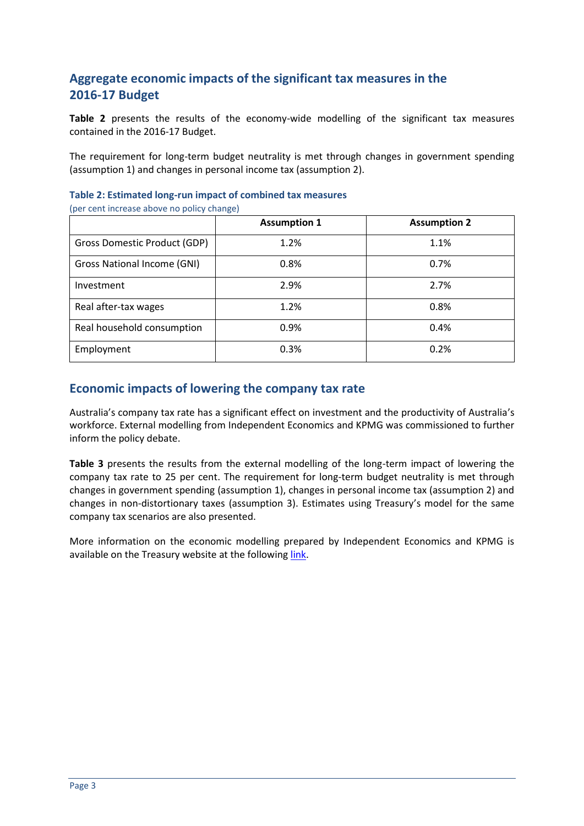## **Aggregate economic impacts of the significant tax measures in the 2016-17 Budget**

**Table 2** presents the results of the economy-wide modelling of the significant tax measures contained in the 2016-17 Budget.

The requirement for long-term budget neutrality is met through changes in government spending (assumption 1) and changes in personal income tax (assumption 2).

| <b>Assumption 1</b> | <b>Assumption 2</b> |
|---------------------|---------------------|
| 1.2%                | 1.1%                |
| 0.8%                | 0.7%                |
| 2.9%                | 2.7%                |
| 1.2%                | 0.8%                |
| 0.9%                | 0.4%                |
| 0.3%                | 0.2%                |
|                     |                     |

**Table 2: Estimated long-run impact of combined tax measures** 

(per cent increase above no policy change)

## **Economic impacts of lowering the company tax rate**

Australia's company tax rate has a significant effect on investment and the productivity of Australia's workforce. External modelling from Independent Economics and KPMG was commissioned to further inform the policy debate.

**Table 3** presents the results from the external modelling of the long-term impact of lowering the company tax rate to 25 per cent. The requirement for long-term budget neutrality is met through changes in government spending (assumption 1), changes in personal income tax (assumption 2) and changes in non-distortionary taxes (assumption 3). Estimates using Treasury's model for the same company tax scenarios are also presented.

More information on the economic modelling prepared by Independent Economics and KPMG is available on the Treasury website at the following [link.](http://www.treasury.gov.au/PublicationsAndMedia/Publications/2016/working-paper-2016-02)